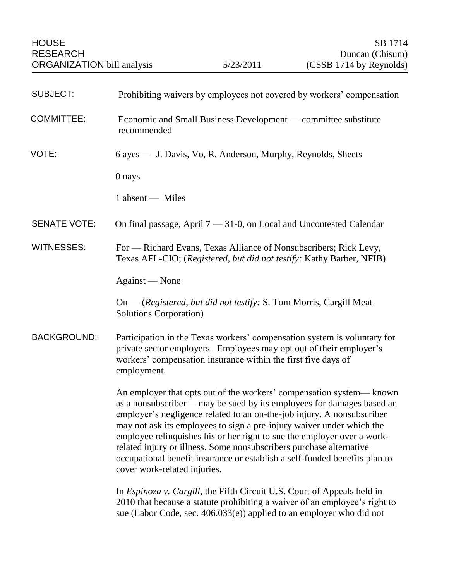| <b>SUBJECT:</b>     | Prohibiting waivers by employees not covered by workers' compensation                                                                                                                                                                                                                                                                                                                                                                                                                                                                                            |
|---------------------|------------------------------------------------------------------------------------------------------------------------------------------------------------------------------------------------------------------------------------------------------------------------------------------------------------------------------------------------------------------------------------------------------------------------------------------------------------------------------------------------------------------------------------------------------------------|
| <b>COMMITTEE:</b>   | Economic and Small Business Development — committee substitute<br>recommended                                                                                                                                                                                                                                                                                                                                                                                                                                                                                    |
| VOTE:               | 6 ayes — J. Davis, Vo, R. Anderson, Murphy, Reynolds, Sheets                                                                                                                                                                                                                                                                                                                                                                                                                                                                                                     |
|                     | 0 nays                                                                                                                                                                                                                                                                                                                                                                                                                                                                                                                                                           |
|                     | 1 absent - Miles                                                                                                                                                                                                                                                                                                                                                                                                                                                                                                                                                 |
| <b>SENATE VOTE:</b> | On final passage, April $7 - 31-0$ , on Local and Uncontested Calendar                                                                                                                                                                                                                                                                                                                                                                                                                                                                                           |
| <b>WITNESSES:</b>   | For - Richard Evans, Texas Alliance of Nonsubscribers; Rick Levy,<br>Texas AFL-CIO; (Registered, but did not testify: Kathy Barber, NFIB)                                                                                                                                                                                                                                                                                                                                                                                                                        |
|                     | Against — None                                                                                                                                                                                                                                                                                                                                                                                                                                                                                                                                                   |
|                     | On — (Registered, but did not testify: S. Tom Morris, Cargill Meat<br><b>Solutions Corporation</b> )                                                                                                                                                                                                                                                                                                                                                                                                                                                             |
| <b>BACKGROUND:</b>  | Participation in the Texas workers' compensation system is voluntary for<br>private sector employers. Employees may opt out of their employer's<br>workers' compensation insurance within the first five days of<br>employment.                                                                                                                                                                                                                                                                                                                                  |
|                     | An employer that opts out of the workers' compensation system— known<br>as a nonsubscriber— may be sued by its employees for damages based an<br>employer's negligence related to an on-the-job injury. A nonsubscriber<br>may not ask its employees to sign a pre-injury waiver under which the<br>employee relinquishes his or her right to sue the employer over a work-<br>related injury or illness. Some nonsubscribers purchase alternative<br>occupational benefit insurance or establish a self-funded benefits plan to<br>cover work-related injuries. |
|                     | In <i>Espinoza v. Cargill</i> , the Fifth Circuit U.S. Court of Appeals held in<br>2010 that because a statute prohibiting a waiver of an employee's right to<br>sue (Labor Code, sec. 406.033(e)) applied to an employer who did not                                                                                                                                                                                                                                                                                                                            |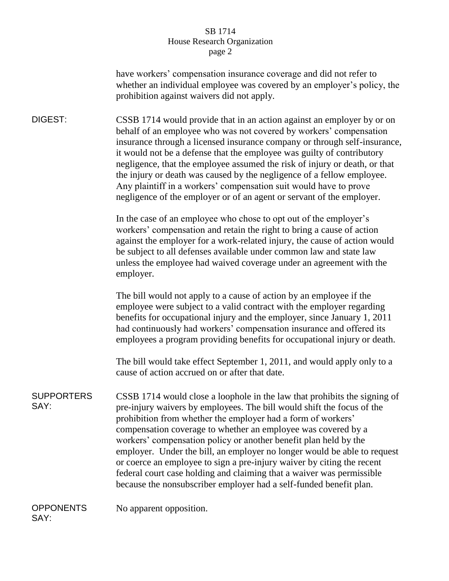## SB 1714 House Research Organization page 2

have workers' compensation insurance coverage and did not refer to whether an individual employee was covered by an employer's policy, the prohibition against waivers did not apply.

DIGEST: CSSB 1714 would provide that in an action against an employer by or on behalf of an employee who was not covered by workers' compensation insurance through a licensed insurance company or through self-insurance, it would not be a defense that the employee was guilty of contributory negligence, that the employee assumed the risk of injury or death, or that the injury or death was caused by the negligence of a fellow employee. Any plaintiff in a workers' compensation suit would have to prove negligence of the employer or of an agent or servant of the employer.

> In the case of an employee who chose to opt out of the employer's workers' compensation and retain the right to bring a cause of action against the employer for a work-related injury, the cause of action would be subject to all defenses available under common law and state law unless the employee had waived coverage under an agreement with the employer.

> The bill would not apply to a cause of action by an employee if the employee were subject to a valid contract with the employer regarding benefits for occupational injury and the employer, since January 1, 2011 had continuously had workers' compensation insurance and offered its employees a program providing benefits for occupational injury or death.

> The bill would take effect September 1, 2011, and would apply only to a cause of action accrued on or after that date.

SUPPORTERS SAY: CSSB 1714 would close a loophole in the law that prohibits the signing of pre-injury waivers by employees. The bill would shift the focus of the prohibition from whether the employer had a form of workers' compensation coverage to whether an employee was covered by a workers' compensation policy or another benefit plan held by the employer. Under the bill, an employer no longer would be able to request or coerce an employee to sign a pre-injury waiver by citing the recent federal court case holding and claiming that a waiver was permissible because the nonsubscriber employer had a self-funded benefit plan.

**OPPONENTS** SAY: No apparent opposition.